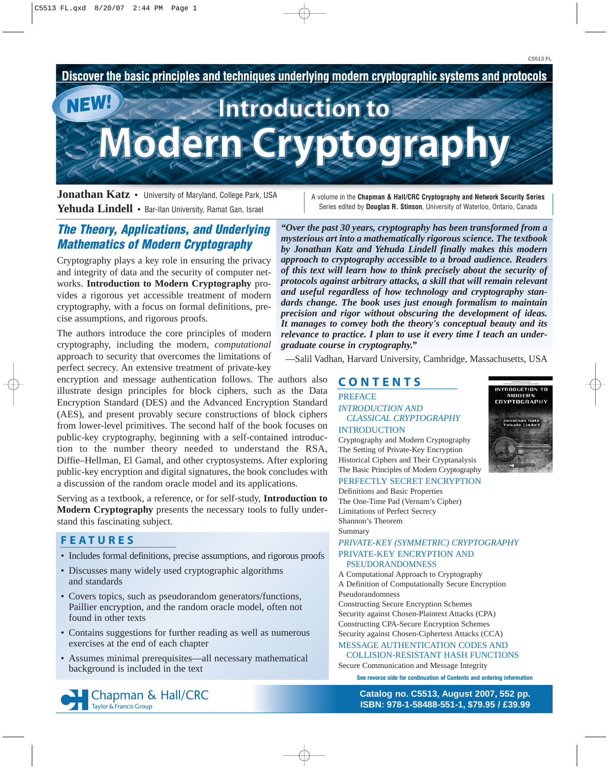

**Jonathan Katz** • University of Maryland, College Park, USA **Yehuda Lindell** • Bar-Ilan University, Ramat Gan, Israel

A volume in the **Chapman & Hall/CRC Cryptography and Network Security Series** Series edited by **Douglas R. Stinson**, University of Waterloo, Ontario, Canada

# **The Theory, Applications, and Underlying Mathematics of Modern Cryptography**

Cryptography plays a key role in ensuring the privacy and integrity of data and the security of computer networks. **Introduction to Modern Cryptography** provides a rigorous yet accessible treatment of modern cryptography, with a focus on formal definitions, precise assumptions, and rigorous proofs.

The authors introduce the core principles of modern cryptography, including the modern, *computational* approach to security that overcomes the limitations of perfect secrecy. An extensive treatment of private-key

encryption and message authentication follows. The authors also illustrate design principles for block ciphers, such as the Data Encryption Standard (DES) and the Advanced Encryption Standard (AES), and present provably secure constructions of block ciphers from lower-level primitives. The second half of the book focuses on public-key cryptography, beginning with a self-contained introduction to the number theory needed to understand the RSA, Diffie–Hellman, El Gamal, and other cryptosystems. After exploring public-key encryption and digital signatures, the book concludes with a discussion of the random oracle model and its applications.

Serving as a textbook, a reference, or for self-study, **Introduction to Modern Cryptography** presents the necessary tools to fully understand this fascinating subject.

# FEATURES

- Includes formal definitions, precise assumptions, and rigorous proofs
- Discusses many widely used cryptographic algorithms and standards
- Covers topics, such as pseudorandom generators/functions, Paillier encryption, and the random oracle model, often not found in other texts
- Contains suggestions for further reading as well as numerous exercises at the end of each chapter
- Assumes minimal prerequisites—all necessary mathematical background is included in the text



*"Over the past 30 years, cryptography has been transformed from a mysterious art into a mathematically rigorous science. The textbook by Jonathan Katz and Yehuda Lindell finally makes this modern approach to cryptography accessible to a broad audience. Readers of this text will learn how to think precisely about the security of protocols against arbitrary attacks, a skill that will remain relevant and useful regardless of how technology and cryptography standards change. The book uses just enough formalism to maintain precision and rigor without obscuring the development of ideas. It manages to convey both the theory's conceptual beauty and its relevance to practice. I plan to use it every time I teach an undergraduate course in cryptography."*

—Salil Vadhan, Harvard University, Cambridge, Massachusetts, USA

### CONTENTS PREFACE *INTRODUCTION AND CLASSICAL CRYPTOGRAPHY*  INTRODUCTION

MODERN<br>CRYPTOGRAPHY

RODUCTION T

Cryptography and Modern Cryptography The Setting of Private-Key Encryption Historical Ciphers and Their Cryptanalysis The Basic Principles of Modern Cryptography PERFECTLY SECRET ENCRYPTION

Definitions and Basic Properties The One-Time Pad (Vernam's Cipher) Limitations of Perfect Secrecy Shannon's Theorem Summary

### *PRIVATE-KEY (SYMMETRIC) CRYPTOGRAPHY*  PRIVATE-KEY ENCRYPTION AND PSEUDORANDOMNESS

A Computational Approach to Cryptography A Definition of Computationally Secure Encryption Pseudorandomness

Constructing Secure Encryption Schemes Security against Chosen-Plaintext Attacks (CPA) Constructing CPA-Secure Encryption Schemes Security against Chosen-Ciphertext Attacks (CCA)

MESSAGE AUTHENTICATION CODES AND

COLLISION-RESISTANT HASH FUNCTIONS Secure Communication and Message Integrity

**See reverse side for continuation of Contents and ordering information**

**[Catalog no. C5513, August 2007, 552 pp.](http://www.crcpress.com/shopping_cart/products/product_detail.asp?sku=C5513&isbn=9781584885511&parent_id=&pc=) ISBN: 978-1-58488-551-1, \$79.95 / £39.99**